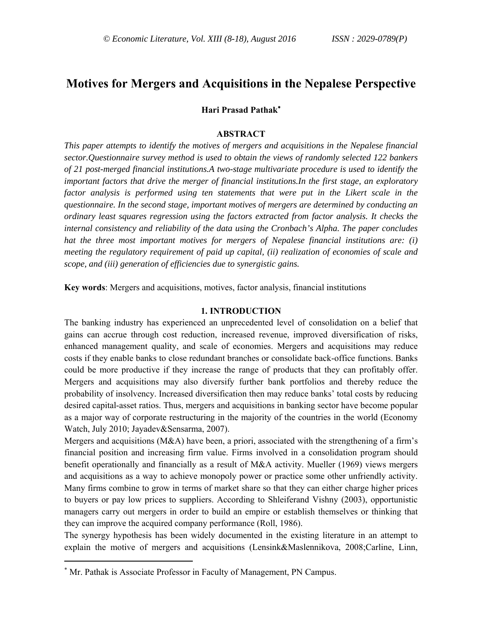# **Motives for Mergers and Acquisitions in the Nepalese Perspective**

# **Hari Prasad Pathak**

#### **ABSTRACT**

*This paper attempts to identify the motives of mergers and acquisitions in the Nepalese financial sector.Questionnaire survey method is used to obtain the views of randomly selected 122 bankers of 21 post-merged financial institutions.A two-stage multivariate procedure is used to identify the important factors that drive the merger of financial institutions.In the first stage, an exploratory*  factor analysis is performed using ten statements that were put in the Likert scale in the *questionnaire. In the second stage, important motives of mergers are determined by conducting an ordinary least squares regression using the factors extracted from factor analysis. It checks the internal consistency and reliability of the data using the Cronbach's Alpha. The paper concludes hat the three most important motives for mergers of Nepalese financial institutions are: (i) meeting the regulatory requirement of paid up capital, (ii) realization of economies of scale and scope, and (iii) generation of efficiencies due to synergistic gains.* 

**Key words**: Mergers and acquisitions, motives, factor analysis, financial institutions

#### **1. INTRODUCTION**

The banking industry has experienced an unprecedented level of consolidation on a belief that gains can accrue through cost reduction, increased revenue, improved diversification of risks, enhanced management quality, and scale of economies. Mergers and acquisitions may reduce costs if they enable banks to close redundant branches or consolidate back-office functions. Banks could be more productive if they increase the range of products that they can profitably offer. Mergers and acquisitions may also diversify further bank portfolios and thereby reduce the probability of insolvency. Increased diversification then may reduce banks' total costs by reducing desired capital-asset ratios. Thus, mergers and acquisitions in banking sector have become popular as a major way of corporate restructuring in the majority of the countries in the world (Economy Watch, July 2010; Jayadev&Sensarma, 2007).

Mergers and acquisitions  $(M&A)$  have been, a priori, associated with the strengthening of a firm's financial position and increasing firm value. Firms involved in a consolidation program should benefit operationally and financially as a result of M&A activity. Mueller (1969) views mergers and acquisitions as a way to achieve monopoly power or practice some other unfriendly activity. Many firms combine to grow in terms of market share so that they can either charge higher prices to buyers or pay low prices to suppliers. According to Shleiferand Vishny (2003), opportunistic managers carry out mergers in order to build an empire or establish themselves or thinking that they can improve the acquired company performance (Roll, 1986).

The synergy hypothesis has been widely documented in the existing literature in an attempt to explain the motive of mergers and acquisitions (Lensink&Maslennikova, 2008;Carline, Linn,

 $\overline{a}$ 

 Mr. Pathak is Associate Professor in Faculty of Management, PN Campus.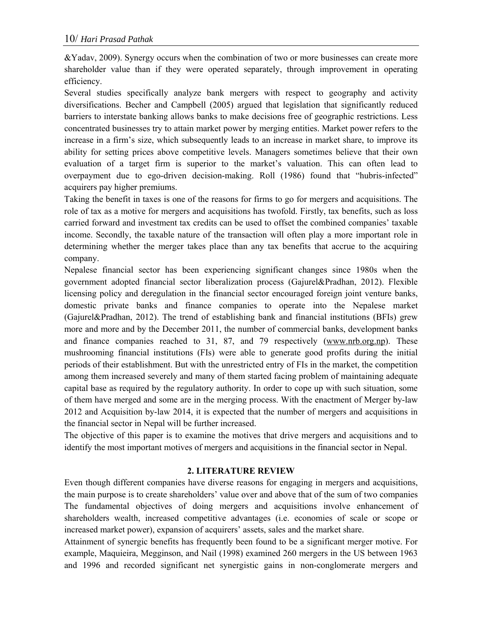&Yadav, 2009). Synergy occurs when the combination of two or more businesses can create more shareholder value than if they were operated separately, through improvement in operating efficiency.

Several studies specifically analyze bank mergers with respect to geography and activity diversifications. Becher and Campbell (2005) argued that legislation that significantly reduced barriers to interstate banking allows banks to make decisions free of geographic restrictions. Less concentrated businesses try to attain market power by merging entities. Market power refers to the increase in a firm's size, which subsequently leads to an increase in market share, to improve its ability for setting prices above competitive levels. Managers sometimes believe that their own evaluation of a target firm is superior to the market's valuation. This can often lead to overpayment due to ego-driven decision-making. Roll (1986) found that "hubris-infected" acquirers pay higher premiums.

Taking the benefit in taxes is one of the reasons for firms to go for mergers and acquisitions. The role of tax as a motive for mergers and acquisitions has twofold. Firstly, tax benefits, such as loss carried forward and investment tax credits can be used to offset the combined companies' taxable income. Secondly, the taxable nature of the transaction will often play a more important role in determining whether the merger takes place than any tax benefits that accrue to the acquiring company.

Nepalese financial sector has been experiencing significant changes since 1980s when the government adopted financial sector liberalization process (Gajurel&Pradhan, 2012). Flexible licensing policy and deregulation in the financial sector encouraged foreign joint venture banks, domestic private banks and finance companies to operate into the Nepalese market (Gajurel&Pradhan, 2012). The trend of establishing bank and financial institutions (BFIs) grew more and more and by the December 2011, the number of commercial banks, development banks and finance companies reached to 31, 87, and 79 respectively (www.nrb.org.np). These mushrooming financial institutions (FIs) were able to generate good profits during the initial periods of their establishment. But with the unrestricted entry of FIs in the market, the competition among them increased severely and many of them started facing problem of maintaining adequate capital base as required by the regulatory authority. In order to cope up with such situation, some of them have merged and some are in the merging process. With the enactment of Merger by-law 2012 and Acquisition by-law 2014, it is expected that the number of mergers and acquisitions in the financial sector in Nepal will be further increased.

The objective of this paper is to examine the motives that drive mergers and acquisitions and to identify the most important motives of mergers and acquisitions in the financial sector in Nepal.

# **2. LITERATURE REVIEW**

Even though different companies have diverse reasons for engaging in mergers and acquisitions, the main purpose is to create shareholders' value over and above that of the sum of two companies The fundamental objectives of doing mergers and acquisitions involve enhancement of shareholders wealth, increased competitive advantages (i.e. economies of scale or scope or increased market power), expansion of acquirers' assets, sales and the market share.

Attainment of synergic benefits has frequently been found to be a significant merger motive. For example, Maquieira, Megginson, and Nail (1998) examined 260 mergers in the US between 1963 and 1996 and recorded significant net synergistic gains in non-conglomerate mergers and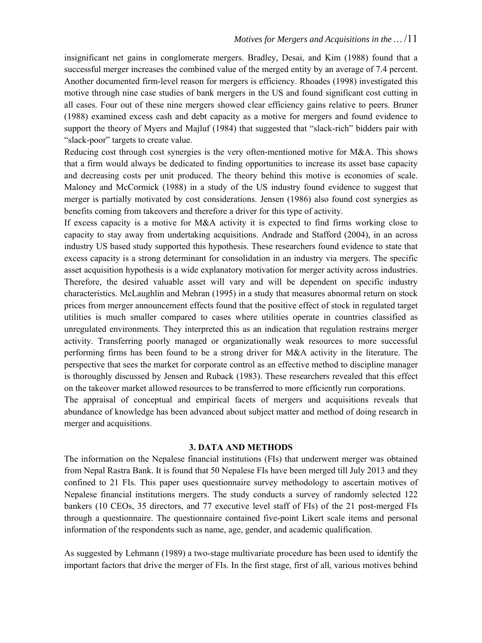insignificant net gains in conglomerate mergers. Bradley, Desai, and Kim (1988) found that a successful merger increases the combined value of the merged entity by an average of 7.4 percent. Another documented firm-level reason for mergers is efficiency. Rhoades (1998) investigated this motive through nine case studies of bank mergers in the US and found significant cost cutting in all cases. Four out of these nine mergers showed clear efficiency gains relative to peers. Bruner (1988) examined excess cash and debt capacity as a motive for mergers and found evidence to support the theory of Myers and Majluf (1984) that suggested that "slack-rich" bidders pair with "slack-poor" targets to create value.

Reducing cost through cost synergies is the very often-mentioned motive for M&A. This shows that a firm would always be dedicated to finding opportunities to increase its asset base capacity and decreasing costs per unit produced. The theory behind this motive is economies of scale. Maloney and McCormick (1988) in a study of the US industry found evidence to suggest that merger is partially motivated by cost considerations. Jensen (1986) also found cost synergies as benefits coming from takeovers and therefore a driver for this type of activity.

If excess capacity is a motive for M&A activity it is expected to find firms working close to capacity to stay away from undertaking acquisitions. Andrade and Stafford (2004), in an across industry US based study supported this hypothesis. These researchers found evidence to state that excess capacity is a strong determinant for consolidation in an industry via mergers. The specific asset acquisition hypothesis is a wide explanatory motivation for merger activity across industries. Therefore, the desired valuable asset will vary and will be dependent on specific industry characteristics. McLaughlin and Mehran (1995) in a study that measures abnormal return on stock prices from merger announcement effects found that the positive effect of stock in regulated target utilities is much smaller compared to cases where utilities operate in countries classified as unregulated environments. They interpreted this as an indication that regulation restrains merger activity. Transferring poorly managed or organizationally weak resources to more successful performing firms has been found to be a strong driver for M&A activity in the literature. The perspective that sees the market for corporate control as an effective method to discipline manager is thoroughly discussed by Jensen and Ruback (1983). These researchers revealed that this effect on the takeover market allowed resources to be transferred to more efficiently run corporations. The appraisal of conceptual and empirical facets of mergers and acquisitions reveals that abundance of knowledge has been advanced about subject matter and method of doing research in

#### **3. DATA AND METHODS**

merger and acquisitions.

The information on the Nepalese financial institutions (FIs) that underwent merger was obtained from Nepal Rastra Bank. It is found that 50 Nepalese FIs have been merged till July 2013 and they confined to 21 FIs. This paper uses questionnaire survey methodology to ascertain motives of Nepalese financial institutions mergers. The study conducts a survey of randomly selected 122 bankers (10 CEOs, 35 directors, and 77 executive level staff of FIs) of the 21 post-merged FIs through a questionnaire. The questionnaire contained five-point Likert scale items and personal information of the respondents such as name, age, gender, and academic qualification.

As suggested by Lehmann (1989) a two-stage multivariate procedure has been used to identify the important factors that drive the merger of FIs. In the first stage, first of all, various motives behind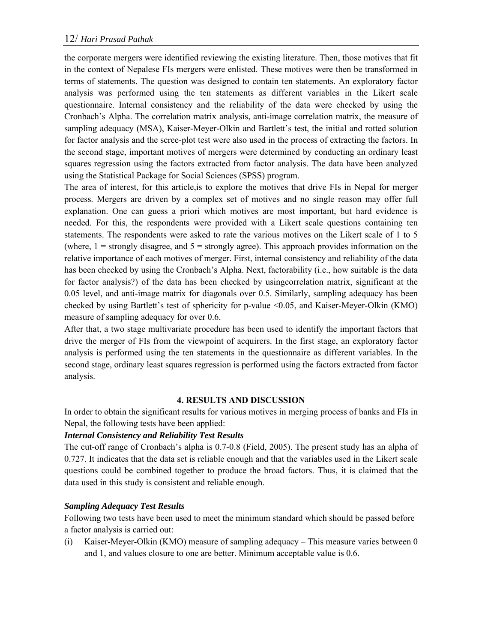the corporate mergers were identified reviewing the existing literature. Then, those motives that fit in the context of Nepalese FIs mergers were enlisted. These motives were then be transformed in terms of statements. The question was designed to contain ten statements. An exploratory factor analysis was performed using the ten statements as different variables in the Likert scale questionnaire. Internal consistency and the reliability of the data were checked by using the Cronbach's Alpha. The correlation matrix analysis, anti-image correlation matrix, the measure of sampling adequacy (MSA), Kaiser-Meyer-Olkin and Bartlett's test, the initial and rotted solution for factor analysis and the scree-plot test were also used in the process of extracting the factors. In the second stage, important motives of mergers were determined by conducting an ordinary least squares regression using the factors extracted from factor analysis. The data have been analyzed using the Statistical Package for Social Sciences (SPSS) program.

The area of interest, for this article,is to explore the motives that drive FIs in Nepal for merger process. Mergers are driven by a complex set of motives and no single reason may offer full explanation. One can guess a priori which motives are most important, but hard evidence is needed. For this, the respondents were provided with a Likert scale questions containing ten statements. The respondents were asked to rate the various motives on the Likert scale of 1 to 5 (where,  $1 =$  strongly disagree, and  $5 =$  strongly agree). This approach provides information on the relative importance of each motives of merger. First, internal consistency and reliability of the data has been checked by using the Cronbach's Alpha. Next, factorability (i.e., how suitable is the data for factor analysis?) of the data has been checked by usingcorrelation matrix, significant at the 0.05 level, and anti-image matrix for diagonals over 0.5. Similarly, sampling adequacy has been checked by using Bartlett's test of sphericity for p-value <0.05, and Kaiser-Meyer-Olkin (KMO) measure of sampling adequacy for over 0.6.

After that, a two stage multivariate procedure has been used to identify the important factors that drive the merger of FIs from the viewpoint of acquirers. In the first stage, an exploratory factor analysis is performed using the ten statements in the questionnaire as different variables. In the second stage, ordinary least squares regression is performed using the factors extracted from factor analysis.

### **4. RESULTS AND DISCUSSION**

In order to obtain the significant results for various motives in merging process of banks and FIs in Nepal, the following tests have been applied:

### *Internal Consistency and Reliability Test Results*

The cut-off range of Cronbach's alpha is 0.7-0.8 (Field, 2005). The present study has an alpha of 0.727. It indicates that the data set is reliable enough and that the variables used in the Likert scale questions could be combined together to produce the broad factors. Thus, it is claimed that the data used in this study is consistent and reliable enough.

### *Sampling Adequacy Test Results*

Following two tests have been used to meet the minimum standard which should be passed before a factor analysis is carried out:

(i) Kaiser-Meyer-Olkin (KMO) measure of sampling adequacy – This measure varies between 0 and 1, and values closure to one are better. Minimum acceptable value is 0.6.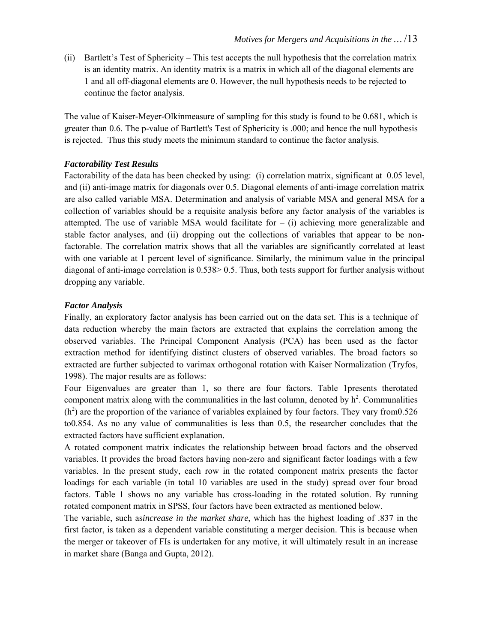(ii) Bartlett's Test of Sphericity – This test accepts the null hypothesis that the correlation matrix is an identity matrix. An identity matrix is a matrix in which all of the diagonal elements are 1 and all off-diagonal elements are 0. However, the null hypothesis needs to be rejected to continue the factor analysis.

The value of Kaiser-Meyer-Olkinmeasure of sampling for this study is found to be 0.681, which is greater than 0.6. The p-value of Bartlett's Test of Sphericity is .000; and hence the null hypothesis is rejected. Thus this study meets the minimum standard to continue the factor analysis.

### *Factorability Test Results*

Factorability of the data has been checked by using: (i) correlation matrix, significant at 0.05 level, and (ii) anti-image matrix for diagonals over 0.5. Diagonal elements of anti-image correlation matrix are also called variable MSA. Determination and analysis of variable MSA and general MSA for a collection of variables should be a requisite analysis before any factor analysis of the variables is attempted. The use of variable MSA would facilitate for  $-$  (i) achieving more generalizable and stable factor analyses, and (ii) dropping out the collections of variables that appear to be nonfactorable. The correlation matrix shows that all the variables are significantly correlated at least with one variable at 1 percent level of significance. Similarly, the minimum value in the principal diagonal of anti-image correlation is 0.538> 0.5. Thus, both tests support for further analysis without dropping any variable.

### *Factor Analysis*

Finally, an exploratory factor analysis has been carried out on the data set. This is a technique of data reduction whereby the main factors are extracted that explains the correlation among the observed variables. The Principal Component Analysis (PCA) has been used as the factor extraction method for identifying distinct clusters of observed variables. The broad factors so extracted are further subjected to varimax orthogonal rotation with Kaiser Normalization (Tryfos, 1998). The major results are as follows:

Four Eigenvalues are greater than 1, so there are four factors. Table 1presents therotated component matrix along with the communalities in the last column, denoted by  $h^2$ . Communalities  $(h<sup>2</sup>)$  are the proportion of the variance of variables explained by four factors. They vary from0.526 to0.854. As no any value of communalities is less than 0.5, the researcher concludes that the extracted factors have sufficient explanation.

A rotated component matrix indicates the relationship between broad factors and the observed variables. It provides the broad factors having non-zero and significant factor loadings with a few variables. In the present study, each row in the rotated component matrix presents the factor loadings for each variable (in total 10 variables are used in the study) spread over four broad factors. Table 1 shows no any variable has cross-loading in the rotated solution. By running rotated component matrix in SPSS, four factors have been extracted as mentioned below.

The variable, such as*increase in the market share*, which has the highest loading of .837 in the first factor, is taken as a dependent variable constituting a merger decision. This is because when the merger or takeover of FIs is undertaken for any motive, it will ultimately result in an increase in market share (Banga and Gupta, 2012).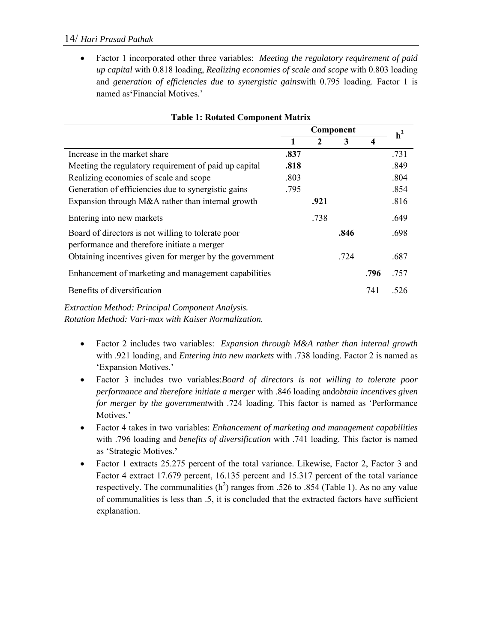Factor 1 incorporated other three variables: *Meeting the regulatory requirement of paid up capital* with 0.818 loading, *Realizing economies of scale and scope* with 0.803 loading and *generation of efficiencies due to synergistic gains*with 0.795 loading. Factor 1 is named as**'**Financial Motives.'

|                                                                                                   | Component |              |      |                  | h <sup>2</sup> |
|---------------------------------------------------------------------------------------------------|-----------|--------------|------|------------------|----------------|
|                                                                                                   | 1         | $\mathbf{2}$ | 3    | $\boldsymbol{4}$ |                |
| Increase in the market share                                                                      | .837      |              |      |                  | .731           |
| Meeting the regulatory requirement of paid up capital                                             | .818      |              |      |                  | .849           |
| Realizing economies of scale and scope                                                            | .803      |              |      |                  | .804           |
| Generation of efficiencies due to synergistic gains                                               | .795      |              |      |                  | .854           |
| Expansion through M&A rather than internal growth                                                 |           | .921         |      |                  | .816           |
| Entering into new markets                                                                         |           | .738         |      |                  | .649           |
| Board of directors is not willing to tolerate poor<br>performance and therefore initiate a merger |           |              | .846 |                  | .698           |
| Obtaining incentives given for merger by the government                                           |           |              | .724 |                  | .687           |
| Enhancement of marketing and management capabilities                                              |           |              |      | .796             | .757           |
| Benefits of diversification                                                                       |           |              |      | 741              | -526           |

# **Table 1: Rotated Component Matrix**

*Extraction Method: Principal Component Analysis. Rotation Method: Vari-max with Kaiser Normalization.* 

- Factor 2 includes two variables: *Expansion through M&A rather than internal growth*  with .921 loading, and *Entering into new markets* with .738 loading. Factor 2 is named as 'Expansion Motives.'
- Factor 3 includes two variables:*Board of directors is not willing to tolerate poor performance and therefore initiate a merger* with .846 loading and*obtain incentives given for merger by the government*with .724 loading. This factor is named as 'Performance Motives.'
- Factor 4 takes in two variables: *Enhancement of marketing and management capabilities*  with .796 loading and *benefits of diversification* with .741 loading. This factor is named as 'Strategic Motives.**'**
- Factor 1 extracts 25.275 percent of the total variance. Likewise, Factor 2, Factor 3 and Factor 4 extract 17.679 percent, 16.135 percent and 15.317 percent of the total variance respectively. The communalities  $(h^2)$  ranges from .526 to .854 (Table 1). As no any value of communalities is less than .5, it is concluded that the extracted factors have sufficient explanation.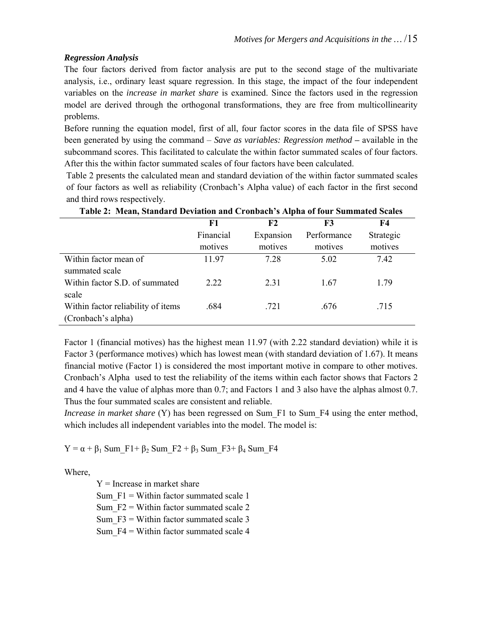# *Regression Analysis*

The four factors derived from factor analysis are put to the second stage of the multivariate analysis, i.e., ordinary least square regression. In this stage, the impact of the four independent variables on the *increase in market share* is examined. Since the factors used in the regression model are derived through the orthogonal transformations, they are free from multicollinearity problems.

Before running the equation model, first of all, four factor scores in the data file of SPSS have been generated by using the command – *Save as variables: Regression method* **–** available in the subcommand scores. This facilitated to calculate the within factor summated scales of four factors. After this the within factor summated scales of four factors have been calculated.

Table 2 presents the calculated mean and standard deviation of the within factor summated scales of four factors as well as reliability (Cronbach's Alpha value) of each factor in the first second and third rows respectively.

| таріс 21 місан, эницага Беланон ана стонрасп з тирна от юат запінанса зеанз |           |           |             |           |  |  |  |  |
|-----------------------------------------------------------------------------|-----------|-----------|-------------|-----------|--|--|--|--|
|                                                                             | F1        | F2        | F3          | F4        |  |  |  |  |
|                                                                             | Financial | Expansion | Performance | Strategic |  |  |  |  |
|                                                                             | motives   | motives   | motives     | motives   |  |  |  |  |
| Within factor mean of                                                       | 11.97     | 7.28      | 5.02        | 7.42      |  |  |  |  |
| summated scale                                                              |           |           |             |           |  |  |  |  |
| Within factor S.D. of summated                                              | 2.22      | 2.31      | 1.67        | 1.79      |  |  |  |  |
| scale                                                                       |           |           |             |           |  |  |  |  |
| Within factor reliability of items                                          | .684      | .721      | .676        | .715      |  |  |  |  |
| (Cronbach's alpha)                                                          |           |           |             |           |  |  |  |  |

**Table 2: Mean, Standard Deviation and Cronbach's Alpha of four Summated Scales** 

Factor 1 (financial motives) has the highest mean 11.97 (with 2.22 standard deviation) while it is Factor 3 (performance motives) which has lowest mean (with standard deviation of 1.67). It means financial motive (Factor 1) is considered the most important motive in compare to other motives. Cronbach's Alpha used to test the reliability of the items within each factor shows that Factors 2 and 4 have the value of alphas more than 0.7; and Factors 1 and 3 also have the alphas almost 0.7. Thus the four summated scales are consistent and reliable.

*Increase in market share* (Y) has been regressed on Sum F1 to Sum F4 using the enter method, which includes all independent variables into the model. The model is:

 $Y = \alpha + \beta_1$  Sum  $F1 + \beta_2$  Sum  $F2 + \beta_3$  Sum  $F3 + \beta_4$  Sum F4

Where,

 $Y =$  Increase in market share Sum  $F1 =$  Within factor summated scale 1 Sum  $F2$  = Within factor summated scale 2 Sum  $F3$  = Within factor summated scale 3 Sum  $F4 =$  Within factor summated scale 4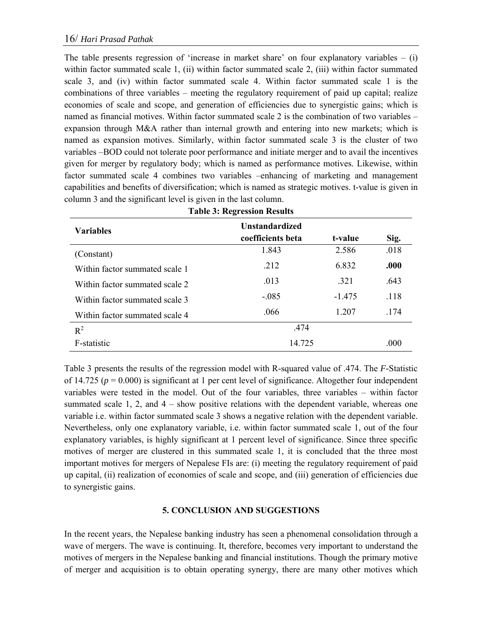The table presents regression of 'increase in market share' on four explanatory variables  $-$  (i) within factor summated scale 1, (ii) within factor summated scale 2, (iii) within factor summated scale 3, and (iv) within factor summated scale 4. Within factor summated scale 1 is the combinations of three variables – meeting the regulatory requirement of paid up capital; realize economies of scale and scope, and generation of efficiencies due to synergistic gains; which is named as financial motives. Within factor summated scale 2 is the combination of two variables – expansion through M&A rather than internal growth and entering into new markets; which is named as expansion motives. Similarly, within factor summated scale 3 is the cluster of two variables –BOD could not tolerate poor performance and initiate merger and to avail the incentives given for merger by regulatory body; which is named as performance motives. Likewise, within factor summated scale 4 combines two variables –enhancing of marketing and management capabilities and benefits of diversification; which is named as strategic motives. t-value is given in column 3 and the significant level is given in the last column.

| <b>Table 3: Regression Results</b> |                                            |          |      |  |  |  |  |
|------------------------------------|--------------------------------------------|----------|------|--|--|--|--|
| <b>Variables</b>                   | <b>Unstandardized</b><br>coefficients beta | t-value  | Sig. |  |  |  |  |
| (Constant)                         | 1.843                                      | 2.586    | .018 |  |  |  |  |
| Within factor summated scale 1     | .212                                       | 6.832    | .000 |  |  |  |  |
| Within factor summated scale 2     | .013                                       | .321     | .643 |  |  |  |  |
| Within factor summated scale 3     | $-.085$                                    | $-1.475$ | .118 |  |  |  |  |
| Within factor summated scale 4     | .066                                       | 1.207    | .174 |  |  |  |  |
| $R^2$                              | .474                                       |          |      |  |  |  |  |
| F-statistic                        | 14.725                                     |          | .000 |  |  |  |  |

Table 3 presents the results of the regression model with R-squared value of .474. The *F-*Statistic of 14.725 ( $p = 0.000$ ) is significant at 1 per cent level of significance. Altogether four independent variables were tested in the model. Out of the four variables, three variables – within factor summated scale 1, 2, and  $4 -$  show positive relations with the dependent variable, whereas one variable i.e. within factor summated scale 3 shows a negative relation with the dependent variable. Nevertheless, only one explanatory variable, i.e. within factor summated scale 1, out of the four explanatory variables, is highly significant at 1 percent level of significance. Since three specific motives of merger are clustered in this summated scale 1, it is concluded that the three most important motives for mergers of Nepalese FIs are: (i) meeting the regulatory requirement of paid up capital, (ii) realization of economies of scale and scope, and (iii) generation of efficiencies due to synergistic gains.

### **5. CONCLUSION AND SUGGESTIONS**

In the recent years, the Nepalese banking industry has seen a phenomenal consolidation through a wave of mergers. The wave is continuing. It, therefore, becomes very important to understand the motives of mergers in the Nepalese banking and financial institutions. Though the primary motive of merger and acquisition is to obtain operating synergy, there are many other motives which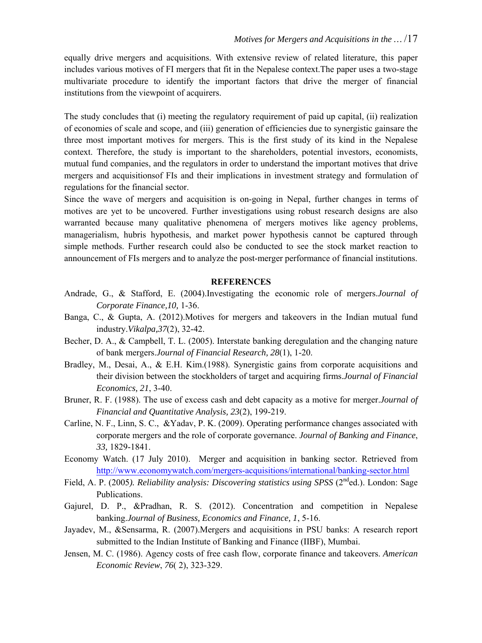equally drive mergers and acquisitions. With extensive review of related literature, this paper includes various motives of FI mergers that fit in the Nepalese context.The paper uses a two-stage multivariate procedure to identify the important factors that drive the merger of financial institutions from the viewpoint of acquirers.

The study concludes that (i) meeting the regulatory requirement of paid up capital, (ii) realization of economies of scale and scope, and (iii) generation of efficiencies due to synergistic gainsare the three most important motives for mergers. This is the first study of its kind in the Nepalese context. Therefore, the study is important to the shareholders, potential investors, economists, mutual fund companies, and the regulators in order to understand the important motives that drive mergers and acquisitionsof FIs and their implications in investment strategy and formulation of regulations for the financial sector.

Since the wave of mergers and acquisition is on-going in Nepal, further changes in terms of motives are yet to be uncovered. Further investigations using robust research designs are also warranted because many qualitative phenomena of mergers motives like agency problems, managerialism, hubris hypothesis, and market power hypothesis cannot be captured through simple methods. Further research could also be conducted to see the stock market reaction to announcement of FIs mergers and to analyze the post-merger performance of financial institutions.

#### **REFERENCES**

- Andrade, G., & Stafford, E. (2004).Investigating the economic role of mergers.*Journal of Corporate Finance,10,* 1-36.
- Banga, C., & Gupta, A. (2012).Motives for mergers and takeovers in the Indian mutual fund industry.*Vikalpa,37*(2), 32-42.
- Becher, D. A., & Campbell, T. L. (2005). Interstate banking deregulation and the changing nature of bank mergers.*Journal of Financial Research, 28*(1), 1-20.
- Bradley, M., Desai, A., & E.H. Kim.(1988). Synergistic gains from corporate acquisitions and their division between the stockholders of target and acquiring firms.*Journal of Financial Economics, 21*, 3-40.
- Bruner, R. F. (1988). The use of excess cash and debt capacity as a motive for merger.*Journal of Financial and Quantitative Analysis, 23*(2), 199-219.
- Carline, N. F., Linn, S. C., &Yadav, P. K. (2009). Operating performance changes associated with corporate mergers and the role of corporate governance. *Journal of Banking and Finance*, *33,* 1829-1841.
- Economy Watch. (17 July 2010). Merger and acquisition in banking sector. Retrieved from http://www.economywatch.com/mergers-acquisitions/international/banking-sector.html
- Field, A. P. (2005). *Reliability analysis: Discovering statistics using SPSS* (2<sup>nd</sup>ed.). London: Sage Publications.
- Gajurel, D. P., &Pradhan, R. S. (2012). Concentration and competition in Nepalese banking.*Journal of Business, Economics and Finance, 1*, 5-16.
- Jayadev, M., &Sensarma, R. (2007).Mergers and acquisitions in PSU banks: A research report submitted to the Indian Institute of Banking and Finance (IIBF), Mumbai.
- Jensen, M. C. (1986). Agency costs of free cash flow, corporate finance and takeovers. *American Economic Review*, *76*( 2), 323-329.